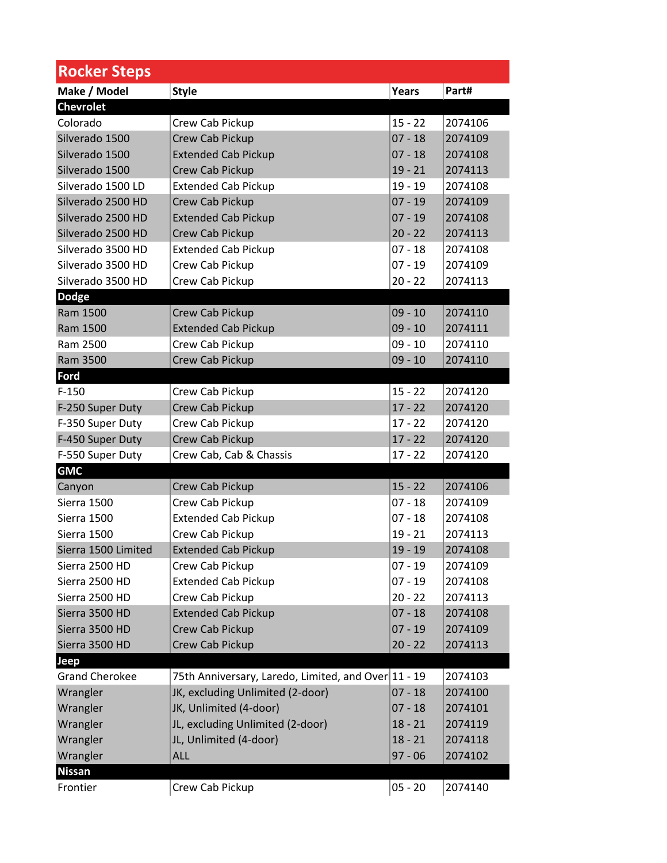| <b>Rocker Steps</b>   |                                                     |           |         |
|-----------------------|-----------------------------------------------------|-----------|---------|
| Make / Model          | <b>Style</b>                                        | Years     | Part#   |
| <b>Chevrolet</b>      |                                                     |           |         |
| Colorado              | Crew Cab Pickup                                     | $15 - 22$ | 2074106 |
| Silverado 1500        | Crew Cab Pickup                                     | $07 - 18$ | 2074109 |
| Silverado 1500        | <b>Extended Cab Pickup</b>                          | $07 - 18$ | 2074108 |
| Silverado 1500        | Crew Cab Pickup                                     | $19 - 21$ | 2074113 |
| Silverado 1500 LD     | <b>Extended Cab Pickup</b>                          | $19 - 19$ | 2074108 |
| Silverado 2500 HD     | Crew Cab Pickup                                     | $07 - 19$ | 2074109 |
| Silverado 2500 HD     | <b>Extended Cab Pickup</b>                          | $07 - 19$ | 2074108 |
| Silverado 2500 HD     | Crew Cab Pickup                                     | $20 - 22$ | 2074113 |
| Silverado 3500 HD     | <b>Extended Cab Pickup</b>                          | $07 - 18$ | 2074108 |
| Silverado 3500 HD     | Crew Cab Pickup                                     | $07 - 19$ | 2074109 |
| Silverado 3500 HD     | Crew Cab Pickup                                     | $20 - 22$ | 2074113 |
| <b>Dodge</b>          |                                                     |           |         |
| Ram 1500              | Crew Cab Pickup                                     | $09 - 10$ | 2074110 |
| Ram 1500              | <b>Extended Cab Pickup</b>                          | $09 - 10$ | 2074111 |
| Ram 2500              | Crew Cab Pickup                                     | $09 - 10$ | 2074110 |
| Ram 3500              | Crew Cab Pickup                                     | $09 - 10$ | 2074110 |
| Ford                  |                                                     |           |         |
| $F-150$               | Crew Cab Pickup                                     | $15 - 22$ | 2074120 |
| F-250 Super Duty      | Crew Cab Pickup                                     | $17 - 22$ | 2074120 |
| F-350 Super Duty      | Crew Cab Pickup                                     | $17 - 22$ | 2074120 |
| F-450 Super Duty      | Crew Cab Pickup                                     | $17 - 22$ | 2074120 |
| F-550 Super Duty      | Crew Cab, Cab & Chassis                             | $17 - 22$ | 2074120 |
| <b>GMC</b>            |                                                     |           |         |
| Canyon                | Crew Cab Pickup                                     | $15 - 22$ | 2074106 |
| Sierra 1500           | Crew Cab Pickup                                     | $07 - 18$ | 2074109 |
| Sierra 1500           | <b>Extended Cab Pickup</b>                          | $07 - 18$ | 2074108 |
| Sierra 1500           | Crew Cab Pickup                                     | $19 - 21$ | 2074113 |
| Sierra 1500 Limited   | <b>Extended Cab Pickup</b>                          | $19 - 19$ | 2074108 |
| Sierra 2500 HD        | Crew Cab Pickup                                     | $07 - 19$ | 2074109 |
| Sierra 2500 HD        | <b>Extended Cab Pickup</b>                          | $07 - 19$ | 2074108 |
| Sierra 2500 HD        | Crew Cab Pickup                                     | $20 - 22$ | 2074113 |
| Sierra 3500 HD        | <b>Extended Cab Pickup</b>                          | $07 - 18$ | 2074108 |
| Sierra 3500 HD        | Crew Cab Pickup                                     | $07 - 19$ | 2074109 |
| Sierra 3500 HD        | Crew Cab Pickup                                     | $20 - 22$ | 2074113 |
| Jeep                  |                                                     |           |         |
| <b>Grand Cherokee</b> | 75th Anniversary, Laredo, Limited, and Over 11 - 19 |           | 2074103 |
| Wrangler              | JK, excluding Unlimited (2-door)                    | $07 - 18$ | 2074100 |
| Wrangler              | JK, Unlimited (4-door)                              | $07 - 18$ | 2074101 |
| Wrangler              | JL, excluding Unlimited (2-door)                    | $18 - 21$ | 2074119 |
| Wrangler              | JL, Unlimited (4-door)                              | $18 - 21$ | 2074118 |
| Wrangler              | <b>ALL</b>                                          | $97 - 06$ | 2074102 |
| <b>Nissan</b>         |                                                     |           |         |
| Frontier              | Crew Cab Pickup                                     | $05 - 20$ | 2074140 |